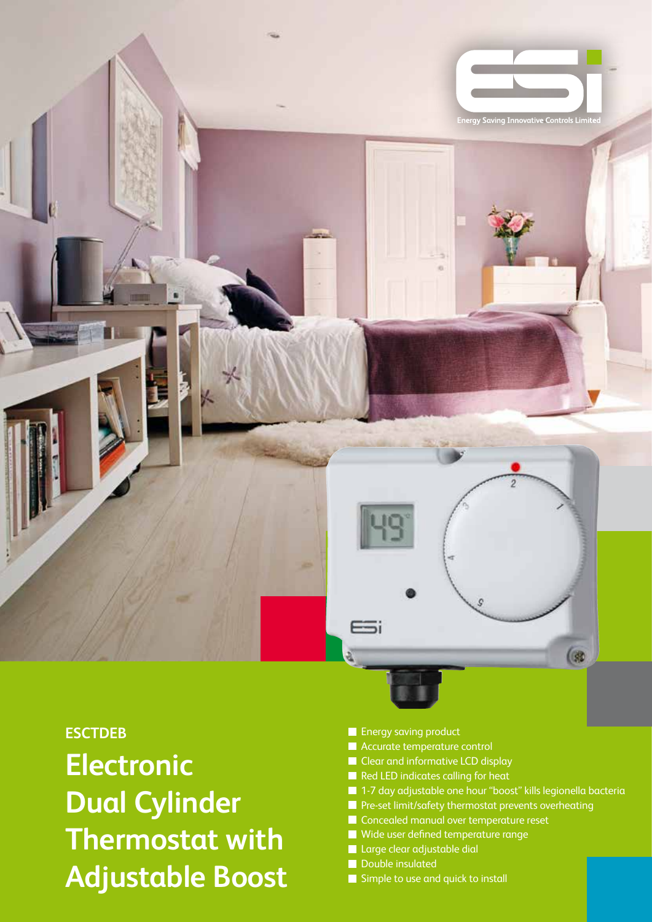

## **ESCTDEB**

**Electronic Dual Cylinder Thermostat with Adjustable Boost**

- **Energy saving product**
- **Accurate temperature control**
- Clear and informative LCD display
- Red LED indicates calling for heat
- 1-7 day adjustable one hour "boost" kills legionella bacteria
- **Pre-set limit/safety thermostat prevents overheating**
- Concealed manual over temperature reset
- Wide user defined temperature range
- **Large clear adjustable dial**
- Double insulated
- Simple to use and quick to install